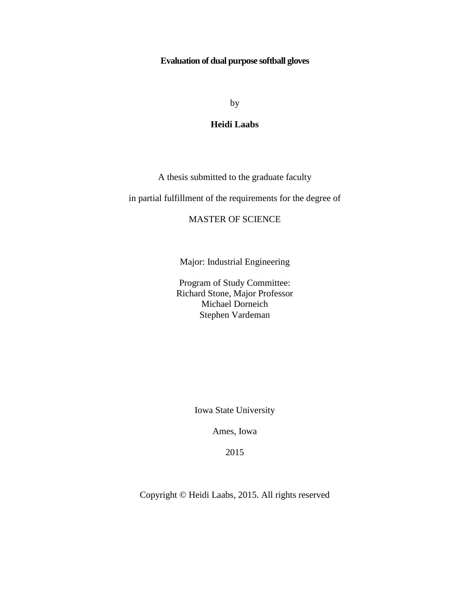## **Evaluation of dual purpose softball gloves**

by

## **Heidi Laabs**

A thesis submitted to the graduate faculty

in partial fulfillment of the requirements for the degree of

## MASTER OF SCIENCE

Major: Industrial Engineering

Program of Study Committee: Richard Stone, Major Professor Michael Dorneich Stephen Vardeman

Iowa State University

Ames, Iowa

2015

Copyright © Heidi Laabs, 2015. All rights reserved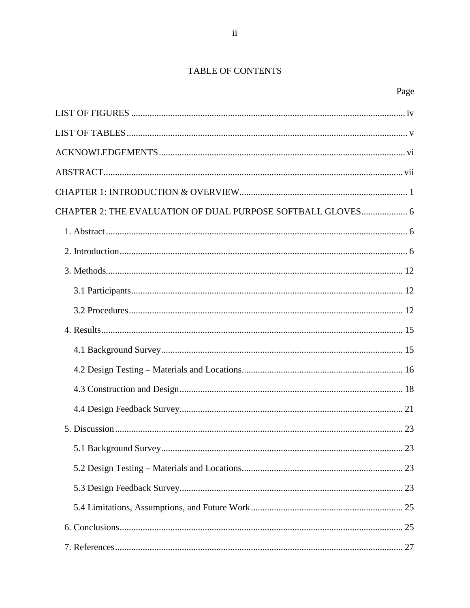# TABLE OF CONTENTS

| CHAPTER 2: THE EVALUATION OF DUAL PURPOSE SOFTBALL GLOVES 6 |  |
|-------------------------------------------------------------|--|
|                                                             |  |
|                                                             |  |
|                                                             |  |
|                                                             |  |
|                                                             |  |
|                                                             |  |
|                                                             |  |
|                                                             |  |
|                                                             |  |
|                                                             |  |
|                                                             |  |
|                                                             |  |
|                                                             |  |
|                                                             |  |
|                                                             |  |
|                                                             |  |
|                                                             |  |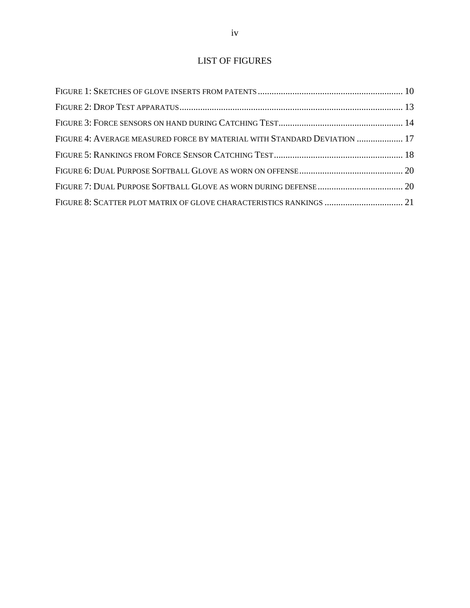# LIST OF FIGURES

<span id="page-3-0"></span>

| FIGURE 4: AVERAGE MEASURED FORCE BY MATERIAL WITH STANDARD DEVIATION  17 |  |
|--------------------------------------------------------------------------|--|
|                                                                          |  |
|                                                                          |  |
|                                                                          |  |
|                                                                          |  |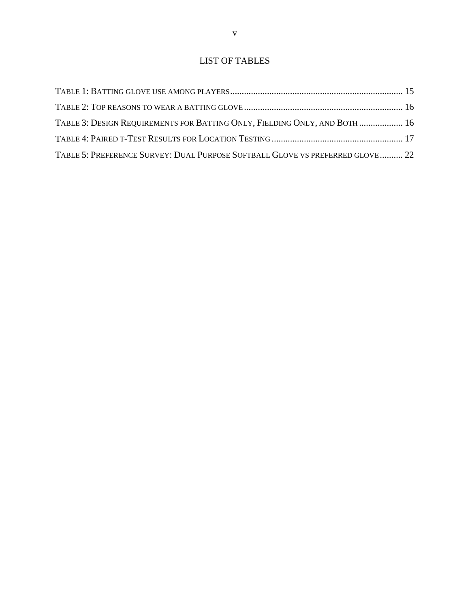# LIST OF TABLES

<span id="page-4-0"></span>

| TABLE 3: DESIGN REQUIREMENTS FOR BATTING ONLY, FIELDING ONLY, AND BOTH  16     |  |
|--------------------------------------------------------------------------------|--|
|                                                                                |  |
| TABLE 5: PREFERENCE SURVEY: DUAL PURPOSE SOFTBALL GLOVE VS PREFERRED GLOVE  22 |  |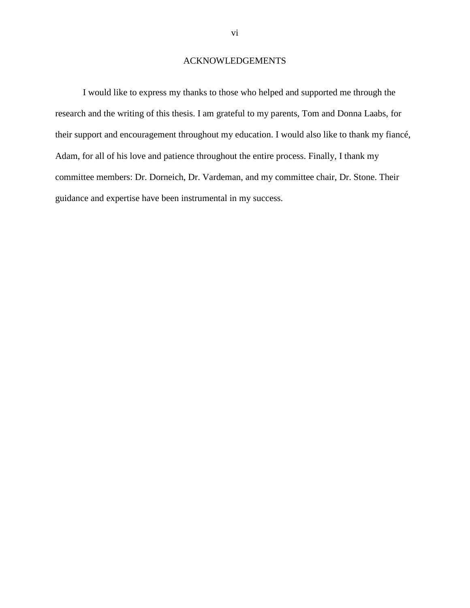## ACKNOWLEDGEMENTS

<span id="page-5-0"></span>I would like to express my thanks to those who helped and supported me through the research and the writing of this thesis. I am grateful to my parents, Tom and Donna Laabs, for their support and encouragement throughout my education. I would also like to thank my fiancé, Adam, for all of his love and patience throughout the entire process. Finally, I thank my committee members: Dr. Dorneich, Dr. Vardeman, and my committee chair, Dr. Stone. Their guidance and expertise have been instrumental in my success.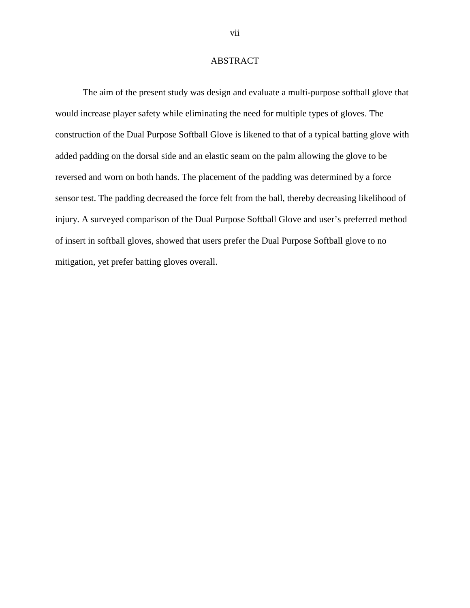## ABSTRACT

<span id="page-6-0"></span>The aim of the present study was design and evaluate a multi-purpose softball glove that would increase player safety while eliminating the need for multiple types of gloves. The construction of the Dual Purpose Softball Glove is likened to that of a typical batting glove with added padding on the dorsal side and an elastic seam on the palm allowing the glove to be reversed and worn on both hands. The placement of the padding was determined by a force sensor test. The padding decreased the force felt from the ball, thereby decreasing likelihood of injury. A surveyed comparison of the Dual Purpose Softball Glove and user's preferred method of insert in softball gloves, showed that users prefer the Dual Purpose Softball glove to no mitigation, yet prefer batting gloves overall.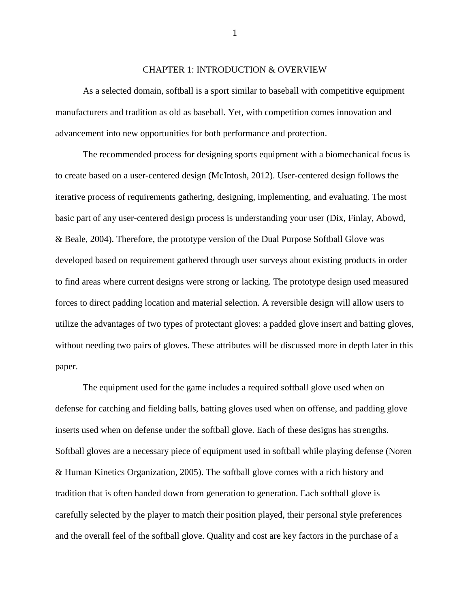#### CHAPTER 1: INTRODUCTION & OVERVIEW

<span id="page-7-0"></span>As a selected domain, softball is a sport similar to baseball with competitive equipment manufacturers and tradition as old as baseball. Yet, with competition comes innovation and advancement into new opportunities for both performance and protection.

The recommended process for designing sports equipment with a biomechanical focus is to create based on a user-centered design (McIntosh, 2012). User-centered design follows the iterative process of requirements gathering, designing, implementing, and evaluating. The most basic part of any user-centered design process is understanding your user (Dix, Finlay, Abowd, & Beale, 2004). Therefore, the prototype version of the Dual Purpose Softball Glove was developed based on requirement gathered through user surveys about existing products in order to find areas where current designs were strong or lacking. The prototype design used measured forces to direct padding location and material selection. A reversible design will allow users to utilize the advantages of two types of protectant gloves: a padded glove insert and batting gloves, without needing two pairs of gloves. These attributes will be discussed more in depth later in this paper.

The equipment used for the game includes a required softball glove used when on defense for catching and fielding balls, batting gloves used when on offense, and padding glove inserts used when on defense under the softball glove. Each of these designs has strengths. Softball gloves are a necessary piece of equipment used in softball while playing defense (Noren & Human Kinetics Organization, 2005). The softball glove comes with a rich history and tradition that is often handed down from generation to generation. Each softball glove is carefully selected by the player to match their position played, their personal style preferences and the overall feel of the softball glove. Quality and cost are key factors in the purchase of a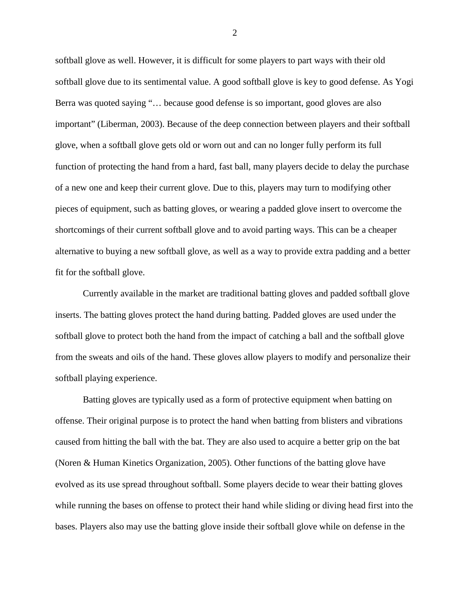softball glove as well. However, it is difficult for some players to part ways with their old softball glove due to its sentimental value. A good softball glove is key to good defense. As Yogi Berra was quoted saying "… because good defense is so important, good gloves are also important" (Liberman, 2003). Because of the deep connection between players and their softball glove, when a softball glove gets old or worn out and can no longer fully perform its full function of protecting the hand from a hard, fast ball, many players decide to delay the purchase of a new one and keep their current glove. Due to this, players may turn to modifying other pieces of equipment, such as batting gloves, or wearing a padded glove insert to overcome the shortcomings of their current softball glove and to avoid parting ways. This can be a cheaper alternative to buying a new softball glove, as well as a way to provide extra padding and a better fit for the softball glove.

Currently available in the market are traditional batting gloves and padded softball glove inserts. The batting gloves protect the hand during batting. Padded gloves are used under the softball glove to protect both the hand from the impact of catching a ball and the softball glove from the sweats and oils of the hand. These gloves allow players to modify and personalize their softball playing experience.

Batting gloves are typically used as a form of protective equipment when batting on offense. Their original purpose is to protect the hand when batting from blisters and vibrations caused from hitting the ball with the bat. They are also used to acquire a better grip on the bat (Noren & Human Kinetics Organization, 2005). Other functions of the batting glove have evolved as its use spread throughout softball. Some players decide to wear their batting gloves while running the bases on offense to protect their hand while sliding or diving head first into the bases. Players also may use the batting glove inside their softball glove while on defense in the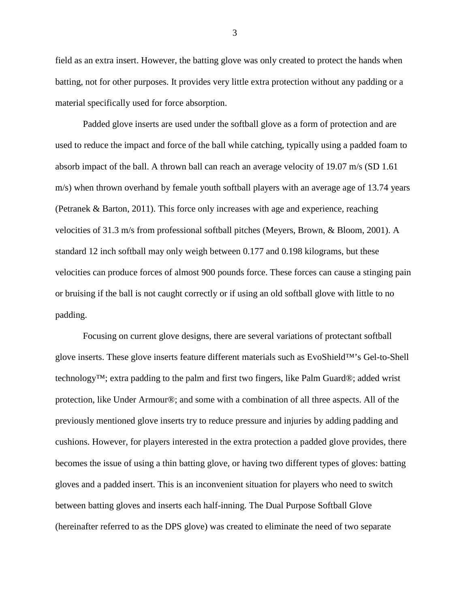field as an extra insert. However, the batting glove was only created to protect the hands when batting, not for other purposes. It provides very little extra protection without any padding or a material specifically used for force absorption.

Padded glove inserts are used under the softball glove as a form of protection and are used to reduce the impact and force of the ball while catching, typically using a padded foam to absorb impact of the ball. A thrown ball can reach an average velocity of 19.07 m/s (SD 1.61 m/s) when thrown overhand by female youth softball players with an average age of 13.74 years (Petranek & Barton, 2011). This force only increases with age and experience, reaching velocities of 31.3 m/s from professional softball pitches (Meyers, Brown, & Bloom, 2001). A standard 12 inch softball may only weigh between 0.177 and 0.198 kilograms, but these velocities can produce forces of almost 900 pounds force. These forces can cause a stinging pain or bruising if the ball is not caught correctly or if using an old softball glove with little to no padding.

Focusing on current glove designs, there are several variations of protectant softball glove inserts. These glove inserts feature different materials such as EvoShield™'s Gel-to-Shell technology™; extra padding to the palm and first two fingers, like Palm Guard®; added wrist protection, like Under Armour®; and some with a combination of all three aspects. All of the previously mentioned glove inserts try to reduce pressure and injuries by adding padding and cushions. However, for players interested in the extra protection a padded glove provides, there becomes the issue of using a thin batting glove, or having two different types of gloves: batting gloves and a padded insert. This is an inconvenient situation for players who need to switch between batting gloves and inserts each half-inning. The Dual Purpose Softball Glove (hereinafter referred to as the DPS glove) was created to eliminate the need of two separate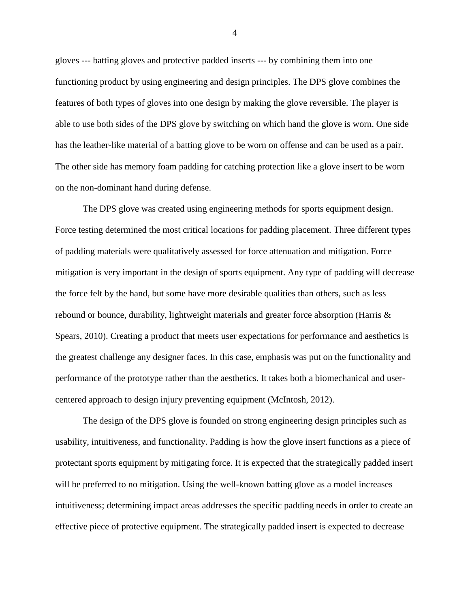gloves --- batting gloves and protective padded inserts --- by combining them into one functioning product by using engineering and design principles. The DPS glove combines the features of both types of gloves into one design by making the glove reversible. The player is able to use both sides of the DPS glove by switching on which hand the glove is worn. One side has the leather-like material of a batting glove to be worn on offense and can be used as a pair. The other side has memory foam padding for catching protection like a glove insert to be worn on the non-dominant hand during defense.

The DPS glove was created using engineering methods for sports equipment design. Force testing determined the most critical locations for padding placement. Three different types of padding materials were qualitatively assessed for force attenuation and mitigation. Force mitigation is very important in the design of sports equipment. Any type of padding will decrease the force felt by the hand, but some have more desirable qualities than others, such as less rebound or bounce, durability, lightweight materials and greater force absorption (Harris & Spears, 2010). Creating a product that meets user expectations for performance and aesthetics is the greatest challenge any designer faces. In this case, emphasis was put on the functionality and performance of the prototype rather than the aesthetics. It takes both a biomechanical and usercentered approach to design injury preventing equipment (McIntosh, 2012).

The design of the DPS glove is founded on strong engineering design principles such as usability, intuitiveness, and functionality. Padding is how the glove insert functions as a piece of protectant sports equipment by mitigating force. It is expected that the strategically padded insert will be preferred to no mitigation. Using the well-known batting glove as a model increases intuitiveness; determining impact areas addresses the specific padding needs in order to create an effective piece of protective equipment. The strategically padded insert is expected to decrease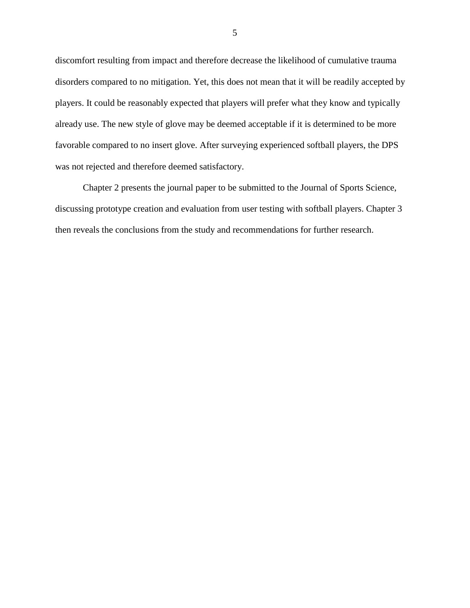discomfort resulting from impact and therefore decrease the likelihood of cumulative trauma disorders compared to no mitigation. Yet, this does not mean that it will be readily accepted by players. It could be reasonably expected that players will prefer what they know and typically already use. The new style of glove may be deemed acceptable if it is determined to be more favorable compared to no insert glove. After surveying experienced softball players, the DPS was not rejected and therefore deemed satisfactory.

Chapter 2 presents the journal paper to be submitted to the Journal of Sports Science, discussing prototype creation and evaluation from user testing with softball players. Chapter 3 then reveals the conclusions from the study and recommendations for further research.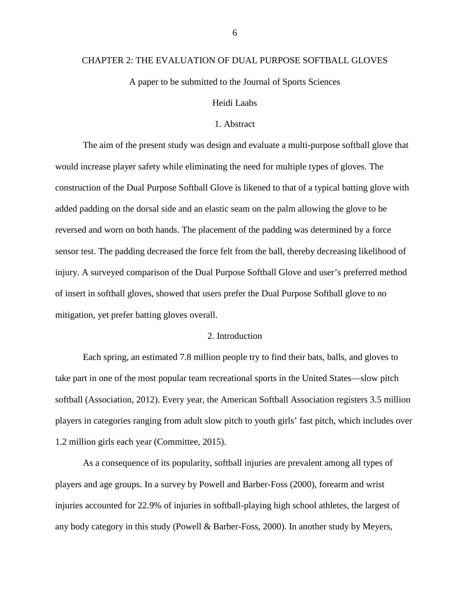#### <span id="page-12-0"></span>CHAPTER 2: THE EVALUATION OF DUAL PURPOSE SOFTBALL GLOVES

A paper to be submitted to the Journal of Sports Sciences

## Heidi Laabs

### 1. Abstract

<span id="page-12-1"></span>The aim of the present study was design and evaluate a multi-purpose softball glove that would increase player safety while eliminating the need for multiple types of gloves. The construction of the Dual Purpose Softball Glove is likened to that of a typical batting glove with added padding on the dorsal side and an elastic seam on the palm allowing the glove to be reversed and worn on both hands. The placement of the padding was determined by a force sensor test. The padding decreased the force felt from the ball, thereby decreasing likelihood of injury. A surveyed comparison of the Dual Purpose Softball Glove and user's preferred method of insert in softball gloves, showed that users prefer the Dual Purpose Softball glove to no mitigation, yet prefer batting gloves overall.

### 2. Introduction

<span id="page-12-2"></span>Each spring, an estimated 7.8 million people try to find their bats, balls, and gloves to take part in one of the most popular team recreational sports in the United States—slow pitch softball (Association, 2012). Every year, the American Softball Association registers 3.5 million players in categories ranging from adult slow pitch to youth girls' fast pitch, which includes over 1.2 million girls each year (Committee, 2015).

As a consequence of its popularity, softball injuries are prevalent among all types of players and age groups. In a survey by Powell and Barber-Foss (2000), forearm and wrist injuries accounted for 22.9% of injuries in softball-playing high school athletes, the largest of any body category in this study (Powell & Barber-Foss, 2000). In another study by Meyers,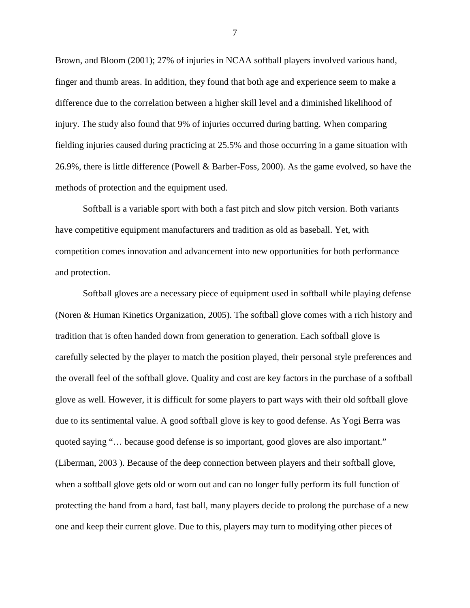Brown, and Bloom (2001); 27% of injuries in NCAA softball players involved various hand, finger and thumb areas. In addition, they found that both age and experience seem to make a difference due to the correlation between a higher skill level and a diminished likelihood of injury. The study also found that 9% of injuries occurred during batting. When comparing fielding injuries caused during practicing at 25.5% and those occurring in a game situation with 26.9%, there is little difference (Powell & Barber-Foss, 2000). As the game evolved, so have the methods of protection and the equipment used.

Softball is a variable sport with both a fast pitch and slow pitch version. Both variants have competitive equipment manufacturers and tradition as old as baseball. Yet, with competition comes innovation and advancement into new opportunities for both performance and protection.

Softball gloves are a necessary piece of equipment used in softball while playing defense (Noren & Human Kinetics Organization, 2005). The softball glove comes with a rich history and tradition that is often handed down from generation to generation. Each softball glove is carefully selected by the player to match the position played, their personal style preferences and the overall feel of the softball glove. Quality and cost are key factors in the purchase of a softball glove as well. However, it is difficult for some players to part ways with their old softball glove due to its sentimental value. A good softball glove is key to good defense. As Yogi Berra was quoted saying "… because good defense is so important, good gloves are also important." (Liberman, 2003 ). Because of the deep connection between players and their softball glove, when a softball glove gets old or worn out and can no longer fully perform its full function of protecting the hand from a hard, fast ball, many players decide to prolong the purchase of a new one and keep their current glove. Due to this, players may turn to modifying other pieces of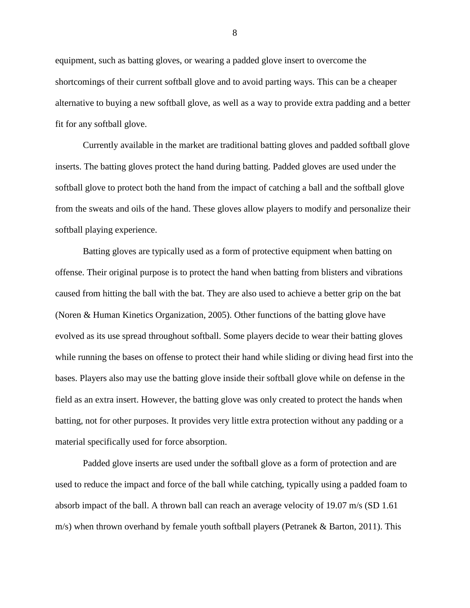equipment, such as batting gloves, or wearing a padded glove insert to overcome the shortcomings of their current softball glove and to avoid parting ways. This can be a cheaper alternative to buying a new softball glove, as well as a way to provide extra padding and a better fit for any softball glove.

Currently available in the market are traditional batting gloves and padded softball glove inserts. The batting gloves protect the hand during batting. Padded gloves are used under the softball glove to protect both the hand from the impact of catching a ball and the softball glove from the sweats and oils of the hand. These gloves allow players to modify and personalize their softball playing experience.

Batting gloves are typically used as a form of protective equipment when batting on offense. Their original purpose is to protect the hand when batting from blisters and vibrations caused from hitting the ball with the bat. They are also used to achieve a better grip on the bat (Noren & Human Kinetics Organization, 2005). Other functions of the batting glove have evolved as its use spread throughout softball. Some players decide to wear their batting gloves while running the bases on offense to protect their hand while sliding or diving head first into the bases. Players also may use the batting glove inside their softball glove while on defense in the field as an extra insert. However, the batting glove was only created to protect the hands when batting, not for other purposes. It provides very little extra protection without any padding or a material specifically used for force absorption.

Padded glove inserts are used under the softball glove as a form of protection and are used to reduce the impact and force of the ball while catching, typically using a padded foam to absorb impact of the ball. A thrown ball can reach an average velocity of 19.07 m/s (SD 1.61 m/s) when thrown overhand by female youth softball players (Petranek & Barton, 2011). This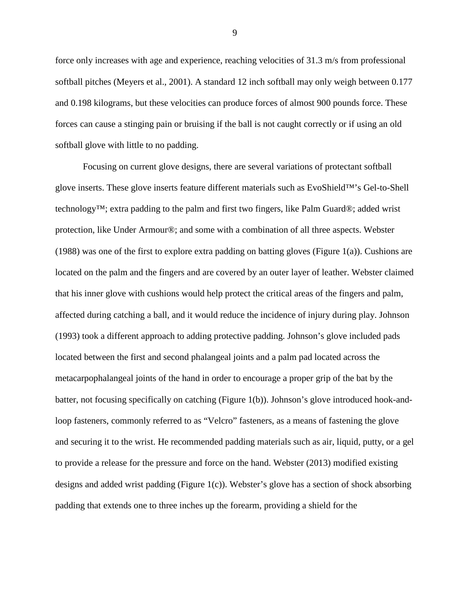force only increases with age and experience, reaching velocities of 31.3 m/s from professional softball pitches (Meyers et al., 2001). A standard 12 inch softball may only weigh between 0.177 and 0.198 kilograms, but these velocities can produce forces of almost 900 pounds force. These forces can cause a stinging pain or bruising if the ball is not caught correctly or if using an old softball glove with little to no padding.

Focusing on current glove designs, there are several variations of protectant softball glove inserts. These glove inserts feature different materials such as EvoShield™'s Gel-to-Shell technology™; extra padding to the palm and first two fingers, like Palm Guard®; added wrist protection, like Under Armour®; and some with a combination of all three aspects. Webster (1988) was one of the first to explore extra padding on batting gloves (Figure 1(a)). Cushions are located on the palm and the fingers and are covered by an outer layer of leather. Webster claimed that his inner glove with cushions would help protect the critical areas of the fingers and palm, affected during catching a ball, and it would reduce the incidence of injury during play. Johnson (1993) took a different approach to adding protective padding. Johnson's glove included pads located between the first and second phalangeal joints and a palm pad located across the metacarpophalangeal joints of the hand in order to encourage a proper grip of the bat by the batter, not focusing specifically on catching (Figure 1(b)). Johnson's glove introduced hook-andloop fasteners, commonly referred to as "Velcro" fasteners, as a means of fastening the glove and securing it to the wrist. He recommended padding materials such as air, liquid, putty, or a gel to provide a release for the pressure and force on the hand. Webster (2013) modified existing designs and added wrist padding (Figure 1(c)). Webster's glove has a section of shock absorbing padding that extends one to three inches up the forearm, providing a shield for the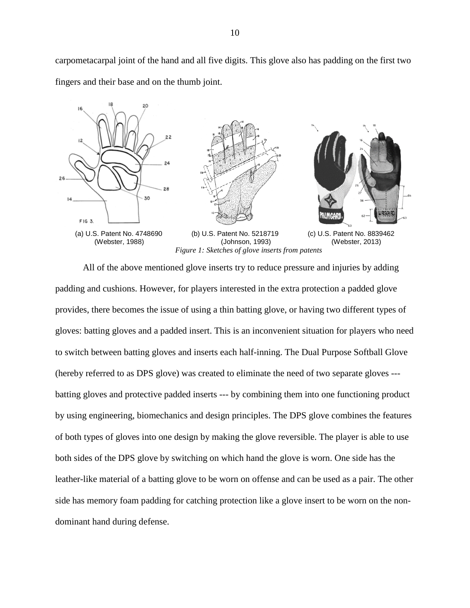carpometacarpal joint of the hand and all five digits. This glove also has padding on the first two fingers and their base and on the thumb joint.



<span id="page-16-0"></span>All of the above mentioned glove inserts try to reduce pressure and injuries by adding padding and cushions. However, for players interested in the extra protection a padded glove provides, there becomes the issue of using a thin batting glove, or having two different types of gloves: batting gloves and a padded insert. This is an inconvenient situation for players who need to switch between batting gloves and inserts each half-inning. The Dual Purpose Softball Glove (hereby referred to as DPS glove) was created to eliminate the need of two separate gloves -- batting gloves and protective padded inserts --- by combining them into one functioning product by using engineering, biomechanics and design principles. The DPS glove combines the features of both types of gloves into one design by making the glove reversible. The player is able to use both sides of the DPS glove by switching on which hand the glove is worn. One side has the leather-like material of a batting glove to be worn on offense and can be used as a pair. The other side has memory foam padding for catching protection like a glove insert to be worn on the nondominant hand during defense.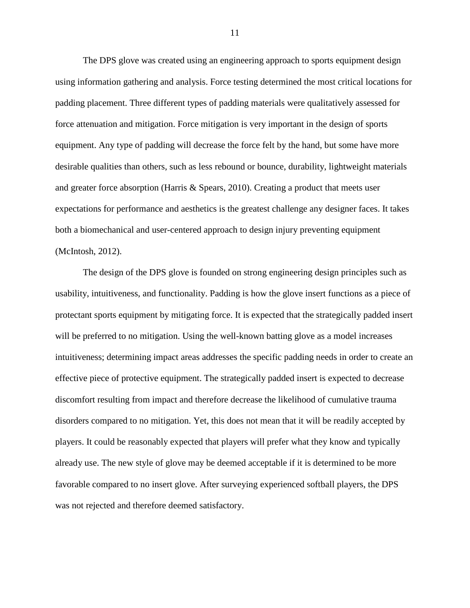The DPS glove was created using an engineering approach to sports equipment design using information gathering and analysis. Force testing determined the most critical locations for padding placement. Three different types of padding materials were qualitatively assessed for force attenuation and mitigation. Force mitigation is very important in the design of sports equipment. Any type of padding will decrease the force felt by the hand, but some have more desirable qualities than others, such as less rebound or bounce, durability, lightweight materials and greater force absorption (Harris & Spears, 2010). Creating a product that meets user expectations for performance and aesthetics is the greatest challenge any designer faces. It takes both a biomechanical and user-centered approach to design injury preventing equipment (McIntosh, 2012).

The design of the DPS glove is founded on strong engineering design principles such as usability, intuitiveness, and functionality. Padding is how the glove insert functions as a piece of protectant sports equipment by mitigating force. It is expected that the strategically padded insert will be preferred to no mitigation. Using the well-known batting glove as a model increases intuitiveness; determining impact areas addresses the specific padding needs in order to create an effective piece of protective equipment. The strategically padded insert is expected to decrease discomfort resulting from impact and therefore decrease the likelihood of cumulative trauma disorders compared to no mitigation. Yet, this does not mean that it will be readily accepted by players. It could be reasonably expected that players will prefer what they know and typically already use. The new style of glove may be deemed acceptable if it is determined to be more favorable compared to no insert glove. After surveying experienced softball players, the DPS was not rejected and therefore deemed satisfactory.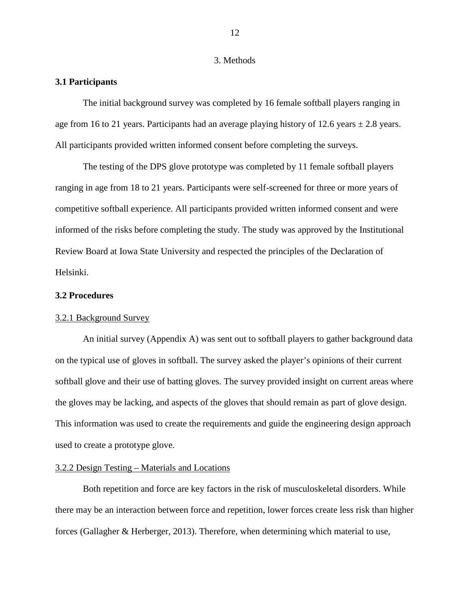#### 3. Methods

## <span id="page-18-1"></span><span id="page-18-0"></span>**3.1 Participants**

The initial background survey was completed by 16 female softball players ranging in age from 16 to 21 years. Participants had an average playing history of 12.6 years  $\pm$  2.8 years. All participants provided written informed consent before completing the surveys.

The testing of the DPS glove prototype was completed by 11 female softball players ranging in age from 18 to 21 years. Participants were self-screened for three or more years of competitive softball experience. All participants provided written informed consent and were informed of the risks before completing the study. The study was approved by the Institutional Review Board at Iowa State University and respected the principles of the Declaration of Helsinki.

## <span id="page-18-2"></span>**3.2 Procedures**

#### 3.2.1 Background Survey

An initial survey (Appendix A) was sent out to softball players to gather background data on the typical use of gloves in softball. The survey asked the player's opinions of their current softball glove and their use of batting gloves. The survey provided insight on current areas where the gloves may be lacking, and aspects of the gloves that should remain as part of glove design. This information was used to create the requirements and guide the engineering design approach used to create a prototype glove.

## 3.2.2 Design Testing – Materials and Locations

Both repetition and force are key factors in the risk of musculoskeletal disorders. While there may be an interaction between force and repetition, lower forces create less risk than higher forces (Gallagher & Herberger, 2013). Therefore, when determining which material to use,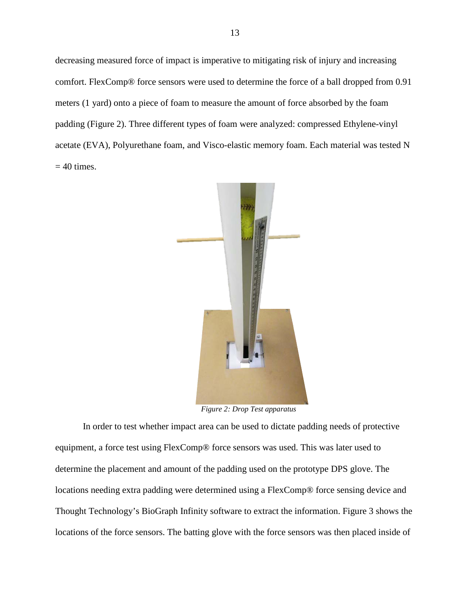decreasing measured force of impact is imperative to mitigating risk of injury and increasing comfort. FlexComp® force sensors were used to determine the force of a ball dropped from 0.91 meters (1 yard) onto a piece of foam to measure the amount of force absorbed by the foam padding [\(Figure 2\)](#page-19-0). Three different types of foam were analyzed: compressed Ethylene-vinyl acetate (EVA), Polyurethane foam, and Visco-elastic memory foam. Each material was tested N  $= 40$  times.



*Figure 2: Drop Test apparatus*

<span id="page-19-0"></span>In order to test whether impact area can be used to dictate padding needs of protective equipment, a force test using FlexComp® force sensors was used. This was later used to determine the placement and amount of the padding used on the prototype DPS glove. The locations needing extra padding were determined using a FlexComp® force sensing device and Thought Technology's BioGraph Infinity software to extract the information. [Figure 3](#page-20-0) shows the locations of the force sensors. The batting glove with the force sensors was then placed inside of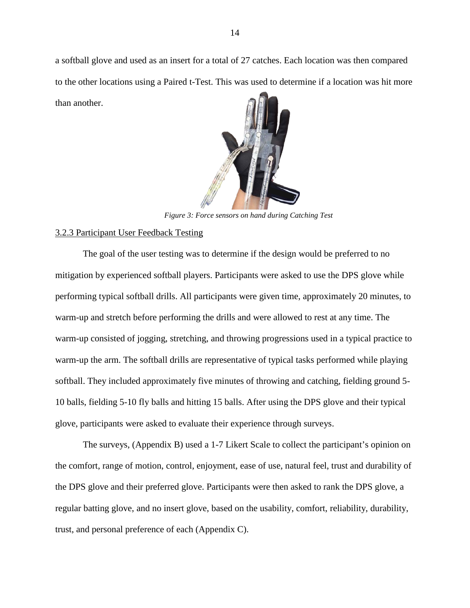<span id="page-20-0"></span>a softball glove and used as an insert for a total of 27 catches. Each location was then compared to the other locations using a Paired t-Test. This was used to determine if a location was hit more than another.



*Figure 3: Force sensors on hand during Catching Test*

## 3.2.3 Participant User Feedback Testing

The goal of the user testing was to determine if the design would be preferred to no mitigation by experienced softball players. Participants were asked to use the DPS glove while performing typical softball drills. All participants were given time, approximately 20 minutes, to warm-up and stretch before performing the drills and were allowed to rest at any time. The warm-up consisted of jogging, stretching, and throwing progressions used in a typical practice to warm-up the arm. The softball drills are representative of typical tasks performed while playing softball. They included approximately five minutes of throwing and catching, fielding ground 5- 10 balls, fielding 5-10 fly balls and hitting 15 balls. After using the DPS glove and their typical glove, participants were asked to evaluate their experience through surveys.

The surveys, (Appendix B) used a 1-7 Likert Scale to collect the participant's opinion on the comfort, range of motion, control, enjoyment, ease of use, natural feel, trust and durability of the DPS glove and their preferred glove. Participants were then asked to rank the DPS glove, a regular batting glove, and no insert glove, based on the usability, comfort, reliability, durability, trust, and personal preference of each (Appendix C).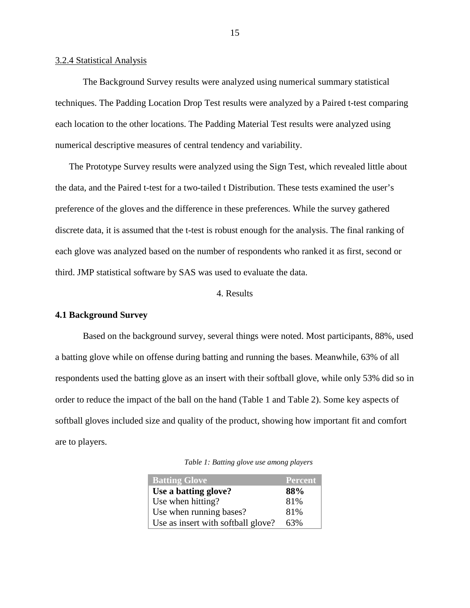#### 3.2.4 Statistical Analysis

The Background Survey results were analyzed using numerical summary statistical techniques. The Padding Location Drop Test results were analyzed by a Paired t-test comparing each location to the other locations. The Padding Material Test results were analyzed using numerical descriptive measures of central tendency and variability.

The Prototype Survey results were analyzed using the Sign Test, which revealed little about the data, and the Paired t-test for a two-tailed t Distribution. These tests examined the user's preference of the gloves and the difference in these preferences. While the survey gathered discrete data, it is assumed that the t-test is robust enough for the analysis. The final ranking of each glove was analyzed based on the number of respondents who ranked it as first, second or third. JMP statistical software by SAS was used to evaluate the data.

## 4. Results

## <span id="page-21-1"></span><span id="page-21-0"></span>**4.1 Background Survey**

Based on the background survey, several things were noted. Most participants, 88%, used a batting glove while on offense during batting and running the bases. Meanwhile, 63% of all respondents used the batting glove as an insert with their softball glove, while only 53% did so in order to reduce the impact of the ball on the hand (Table 1 and Table 2). Some key aspects of softball gloves included size and quality of the product, showing how important fit and comfort are to players.

<span id="page-21-2"></span>

| <b>Batting Glove</b>               | <b>Percent</b> |
|------------------------------------|----------------|
| Use a batting glove?               | 88%            |
| Use when hitting?                  | 81%            |
| Use when running bases?            | 81%            |
| Use as insert with softball glove? | 63%            |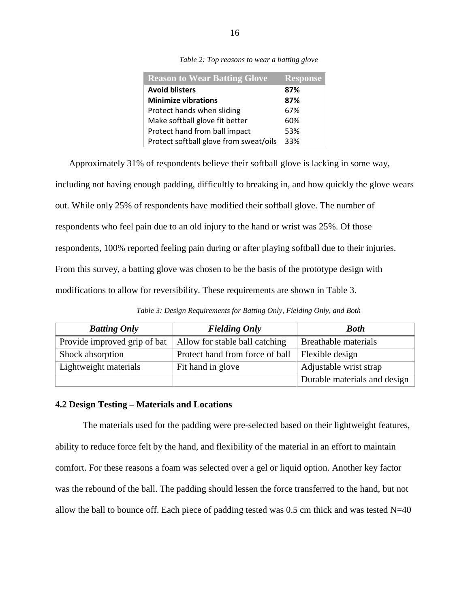| Table 2: Top reasons to wear a batting glove |  |  |  |  |
|----------------------------------------------|--|--|--|--|
|----------------------------------------------|--|--|--|--|

<span id="page-22-1"></span>

| <b>Reason to Wear Batting Glove</b>    | <b>Response</b> |
|----------------------------------------|-----------------|
| <b>Avoid blisters</b>                  | 87%             |
| <b>Minimize vibrations</b>             | 87%             |
| Protect hands when sliding             | 67%             |
| Make softball glove fit better         | 60%             |
| Protect hand from ball impact          | 53%             |
| Protect softball glove from sweat/oils | 33%             |

Approximately 31% of respondents believe their softball glove is lacking in some way,

including not having enough padding, difficultly to breaking in, and how quickly the glove wears out. While only 25% of respondents have modified their softball glove. The number of respondents who feel pain due to an old injury to the hand or wrist was 25%. Of those respondents, 100% reported feeling pain during or after playing softball due to their injuries. From this survey, a batting glove was chosen to be the basis of the prototype design with modifications to allow for reversibility. These requirements are shown in [Table 3.](#page-22-2)

*Table 3: Design Requirements for Batting Only, Fielding Only, and Both*

<span id="page-22-2"></span>

| <b>Batting Only</b>          | <b>Fielding Only</b>            | <b>Both</b>                  |
|------------------------------|---------------------------------|------------------------------|
| Provide improved grip of bat | Allow for stable ball catching  | <b>Breathable materials</b>  |
| Shock absorption             | Protect hand from force of ball | Flexible design              |
| Lightweight materials        | Fit hand in glove               | Adjustable wrist strap       |
|                              |                                 | Durable materials and design |

## <span id="page-22-0"></span>**4.2 Design Testing – Materials and Locations**

The materials used for the padding were pre-selected based on their lightweight features, ability to reduce force felt by the hand, and flexibility of the material in an effort to maintain comfort. For these reasons a foam was selected over a gel or liquid option. Another key factor was the rebound of the ball. The padding should lessen the force transferred to the hand, but not allow the ball to bounce off. Each piece of padding tested was  $0.5$  cm thick and was tested N=40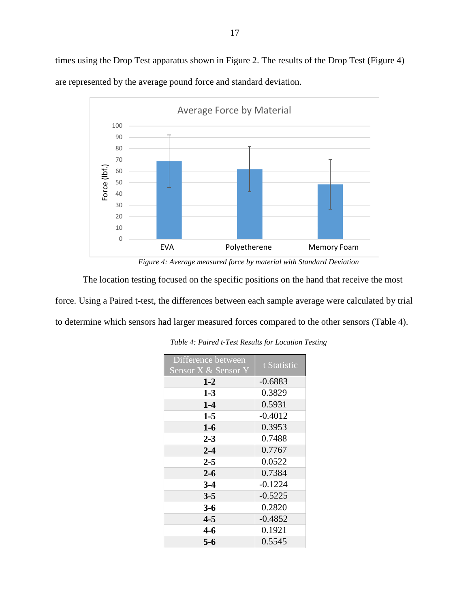times using the Drop Test apparatus shown in [Figure 2.](#page-19-0) The results of the Drop Test [\(Figure 4\)](#page-23-0) are represented by the average pound force and standard deviation.



*Figure 4: Average measured force by material with Standard Deviation*

<span id="page-23-1"></span><span id="page-23-0"></span>The location testing focused on the specific positions on the hand that receive the most force. Using a Paired t-test, the differences between each sample average were calculated by trial to determine which sensors had larger measured forces compared to the other sensors [\(Table 4\)](#page-23-1).

| Difference between<br>Sensor X & Sensor Y | t Statistic |
|-------------------------------------------|-------------|
| $1-2$                                     | $-0.6883$   |
| $1 - 3$                                   | 0.3829      |
| $1-4$                                     | 0.5931      |
| $1-5$                                     | $-0.4012$   |
| $1-6$                                     | 0.3953      |
| $2 - 3$                                   | 0.7488      |
| $2 - 4$                                   | 0.7767      |
| $2 - 5$                                   | 0.0522      |
| $2 - 6$                                   | 0.7384      |
| $3-4$                                     | $-0.1224$   |
| $3 - 5$                                   | $-0.5225$   |
| $3 - 6$                                   | 0.2820      |
| $4 - 5$                                   | $-0.4852$   |
| 4-6                                       | 0.1921      |
| 5-6                                       | 0.5545      |

*Table 4: Paired t-Test Results for Location Testing*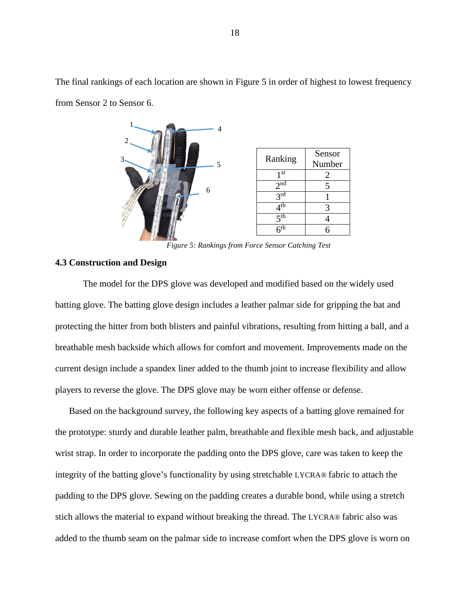

The final rankings of each location are shown in [Figure 5](#page-24-1) in order of highest to lowest frequency from Sensor 2 to Sensor 6.

*Figure 5: Rankings from Force Sensor Catching Test*

## <span id="page-24-1"></span><span id="page-24-0"></span>**4.3 Construction and Design**

2

3

The model for the DPS glove was developed and modified based on the widely used batting glove. The batting glove design includes a leather palmar side for gripping the bat and protecting the hitter from both blisters and painful vibrations, resulting from hitting a ball, and a breathable mesh backside which allows for comfort and movement. Improvements made on the current design include a spandex liner added to the thumb joint to increase flexibility and allow players to reverse the glove. The DPS glove may be worn either offense or defense.

Based on the background survey, the following key aspects of a batting glove remained for the prototype: sturdy and durable leather palm, breathable and flexible mesh back, and adjustable wrist strap. In order to incorporate the padding onto the DPS glove, care was taken to keep the integrity of the batting glove's functionality by using stretchable LYCRA® fabric to attach the padding to the DPS glove. Sewing on the padding creates a durable bond, while using a stretch stich allows the material to expand without breaking the thread. The LYCRA® fabric also was added to the thumb seam on the palmar side to increase comfort when the DPS glove is worn on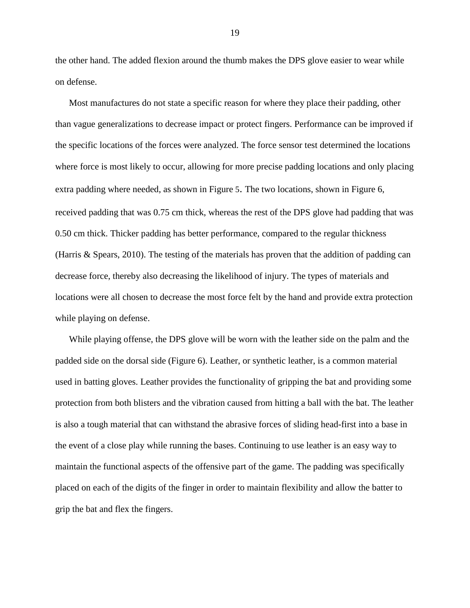the other hand. The added flexion around the thumb makes the DPS glove easier to wear while on defense.

Most manufactures do not state a specific reason for where they place their padding, other than vague generalizations to decrease impact or protect fingers. Performance can be improved if the specific locations of the forces were analyzed. The force sensor test determined the locations where force is most likely to occur, allowing for more precise padding locations and only placing extra padding where needed, as shown in [Figure](#page-24-1) 5. The two locations, shown in Figure 6, received padding that was 0.75 cm thick, whereas the rest of the DPS glove had padding that was 0.50 cm thick. Thicker padding has better performance, compared to the regular thickness (Harris & Spears, 2010). The testing of the materials has proven that the addition of padding can decrease force, thereby also decreasing the likelihood of injury. The types of materials and locations were all chosen to decrease the most force felt by the hand and provide extra protection while playing on defense.

While playing offense, the DPS glove will be worn with the leather side on the palm and the padded side on the dorsal side (Figure 6). Leather, or synthetic leather, is a common material used in batting gloves. Leather provides the functionality of gripping the bat and providing some protection from both blisters and the vibration caused from hitting a ball with the bat. The leather is also a tough material that can withstand the abrasive forces of sliding head-first into a base in the event of a close play while running the bases. Continuing to use leather is an easy way to maintain the functional aspects of the offensive part of the game. The padding was specifically placed on each of the digits of the finger in order to maintain flexibility and allow the batter to grip the bat and flex the fingers.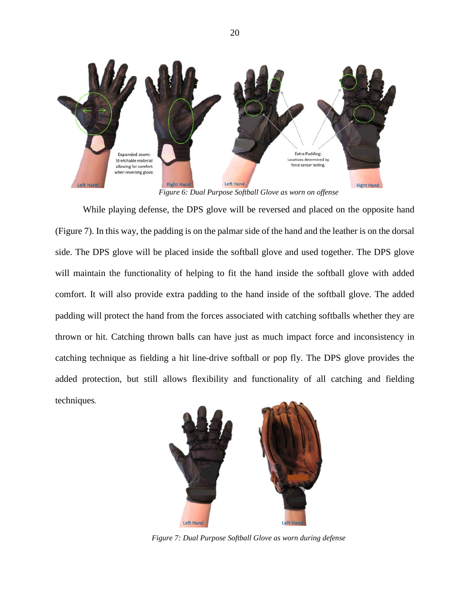<span id="page-26-0"></span>

*Figure 6: Dual Purpose Softball Glove as worn on offense*

While playing defense, the DPS glove will be reversed and placed on the opposite hand (Figure 7). In this way, the padding is on the palmar side of the hand and the leather is on the dorsal side. The DPS glove will be placed inside the softball glove and used together. The DPS glove will maintain the functionality of helping to fit the hand inside the softball glove with added comfort. It will also provide extra padding to the hand inside of the softball glove. The added padding will protect the hand from the forces associated with catching softballs whether they are thrown or hit. Catching thrown balls can have just as much impact force and inconsistency in catching technique as fielding a hit line-drive softball or pop fly. The DPS glove provides the added protection, but still allows flexibility and functionality of all catching and fielding techniques*.* 

<span id="page-26-1"></span>

*Figure 7: Dual Purpose Softball Glove as worn during defense*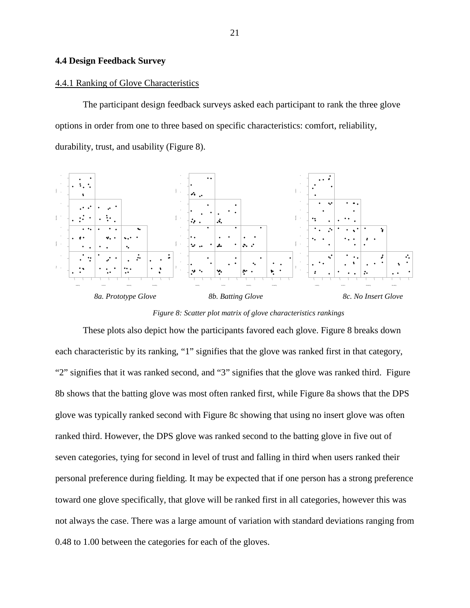### <span id="page-27-0"></span>**4.4 Design Feedback Survey**

#### 4.4.1 Ranking of Glove Characteristics

The participant design feedback surveys asked each participant to rank the three glove options in order from one to three based on specific characteristics: comfort, reliability, durability, trust, and usability [\(Figure 8\)](#page-27-1).



*Figure 8: Scatter plot matrix of glove characteristics rankings*

<span id="page-27-1"></span>These plots also depict how the participants favored each glove. Figure 8 breaks down each characteristic by its ranking, "1" signifies that the glove was ranked first in that category, "2" signifies that it was ranked second, and "3" signifies that the glove was ranked third. Figure 8b shows that the batting glove was most often ranked first, while Figure 8a shows that the DPS glove was typically ranked second with Figure 8c showing that using no insert glove was often ranked third. However, the DPS glove was ranked second to the batting glove in five out of seven categories, tying for second in level of trust and falling in third when users ranked their personal preference during fielding. It may be expected that if one person has a strong preference toward one glove specifically, that glove will be ranked first in all categories, however this was not always the case. There was a large amount of variation with standard deviations ranging from 0.48 to 1.00 between the categories for each of the gloves.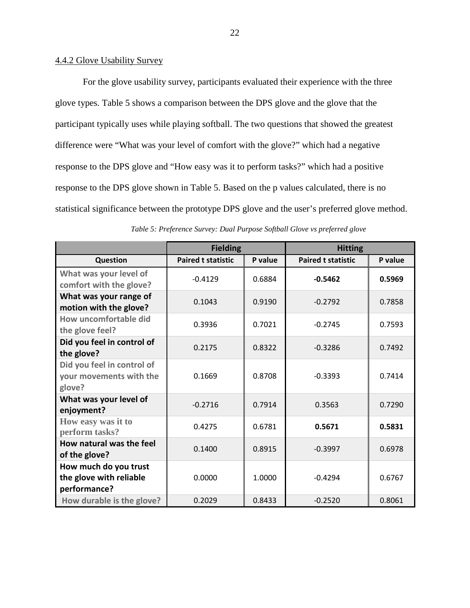## 4.4.2 Glove Usability Survey

For the glove usability survey, participants evaluated their experience with the three glove types. [Table 5](#page-28-0) shows a comparison between the DPS glove and the glove that the participant typically uses while playing softball. The two questions that showed the greatest difference were "What was your level of comfort with the glove?" which had a negative response to the DPS glove and "How easy was it to perform tasks?" which had a positive response to the DPS glove shown in [Table 5.](#page-28-0) Based on the p values calculated, there is no statistical significance between the prototype DPS glove and the user's preferred glove method.

<span id="page-28-0"></span>

|                                                                  | <b>Fielding</b>           |         | <b>Hitting</b>            |         |
|------------------------------------------------------------------|---------------------------|---------|---------------------------|---------|
| <b>Question</b>                                                  | <b>Paired t statistic</b> | P value | <b>Paired t statistic</b> | P value |
| What was your level of<br>comfort with the glove?                | $-0.4129$                 | 0.6884  | $-0.5462$                 | 0.5969  |
| What was your range of<br>motion with the glove?                 | 0.1043                    | 0.9190  | $-0.2792$                 | 0.7858  |
| How uncomfortable did<br>the glove feel?                         | 0.3936                    | 0.7021  | $-0.2745$                 | 0.7593  |
| Did you feel in control of<br>the glove?                         | 0.2175                    | 0.8322  | $-0.3286$                 | 0.7492  |
| Did you feel in control of<br>your movements with the<br>glove?  | 0.1669                    | 0.8708  | $-0.3393$                 | 0.7414  |
| What was your level of<br>enjoyment?                             | $-0.2716$                 | 0.7914  | 0.3563                    | 0.7290  |
| How easy was it to<br>perform tasks?                             | 0.4275                    | 0.6781  | 0.5671                    | 0.5831  |
| How natural was the feel<br>of the glove?                        | 0.1400                    | 0.8915  | $-0.3997$                 | 0.6978  |
| How much do you trust<br>the glove with reliable<br>performance? | 0.0000                    | 1.0000  | $-0.4294$                 | 0.6767  |
| How durable is the glove?                                        | 0.2029                    | 0.8433  | $-0.2520$                 | 0.8061  |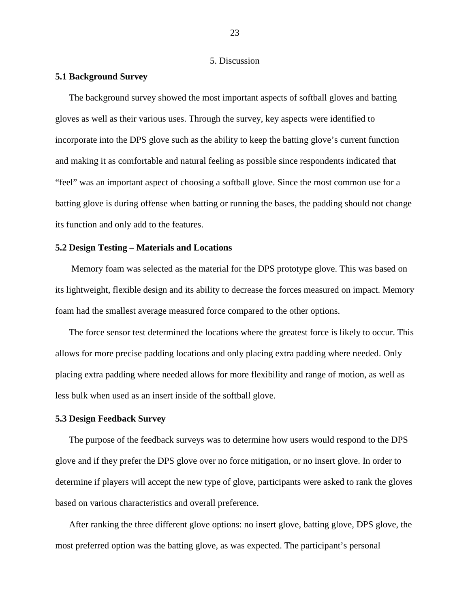#### 5. Discussion

#### <span id="page-29-1"></span><span id="page-29-0"></span>**5.1 Background Survey**

The background survey showed the most important aspects of softball gloves and batting gloves as well as their various uses. Through the survey, key aspects were identified to incorporate into the DPS glove such as the ability to keep the batting glove's current function and making it as comfortable and natural feeling as possible since respondents indicated that "feel" was an important aspect of choosing a softball glove. Since the most common use for a batting glove is during offense when batting or running the bases, the padding should not change its function and only add to the features.

#### <span id="page-29-2"></span>**5.2 Design Testing – Materials and Locations**

Memory foam was selected as the material for the DPS prototype glove. This was based on its lightweight, flexible design and its ability to decrease the forces measured on impact. Memory foam had the smallest average measured force compared to the other options.

The force sensor test determined the locations where the greatest force is likely to occur. This allows for more precise padding locations and only placing extra padding where needed. Only placing extra padding where needed allows for more flexibility and range of motion, as well as less bulk when used as an insert inside of the softball glove.

#### <span id="page-29-3"></span>**5.3 Design Feedback Survey**

The purpose of the feedback surveys was to determine how users would respond to the DPS glove and if they prefer the DPS glove over no force mitigation, or no insert glove. In order to determine if players will accept the new type of glove, participants were asked to rank the gloves based on various characteristics and overall preference.

After ranking the three different glove options: no insert glove, batting glove, DPS glove, the most preferred option was the batting glove, as was expected. The participant's personal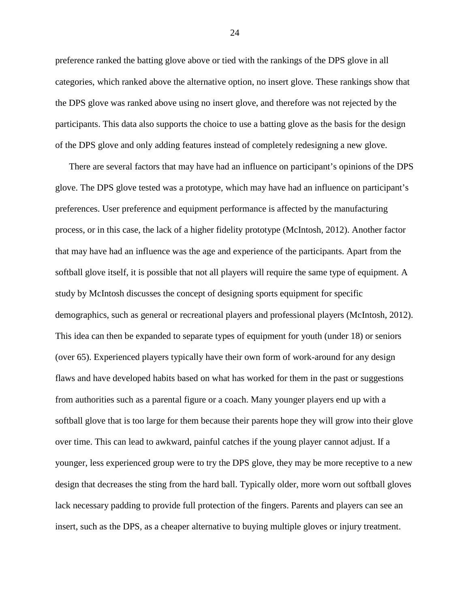preference ranked the batting glove above or tied with the rankings of the DPS glove in all categories, which ranked above the alternative option, no insert glove. These rankings show that the DPS glove was ranked above using no insert glove, and therefore was not rejected by the participants. This data also supports the choice to use a batting glove as the basis for the design of the DPS glove and only adding features instead of completely redesigning a new glove.

There are several factors that may have had an influence on participant's opinions of the DPS glove. The DPS glove tested was a prototype, which may have had an influence on participant's preferences. User preference and equipment performance is affected by the manufacturing process, or in this case, the lack of a higher fidelity prototype (McIntosh, 2012). Another factor that may have had an influence was the age and experience of the participants. Apart from the softball glove itself, it is possible that not all players will require the same type of equipment. A study by McIntosh discusses the concept of designing sports equipment for specific demographics, such as general or recreational players and professional players (McIntosh, 2012). This idea can then be expanded to separate types of equipment for youth (under 18) or seniors (over 65). Experienced players typically have their own form of work-around for any design flaws and have developed habits based on what has worked for them in the past or suggestions from authorities such as a parental figure or a coach. Many younger players end up with a softball glove that is too large for them because their parents hope they will grow into their glove over time. This can lead to awkward, painful catches if the young player cannot adjust. If a younger, less experienced group were to try the DPS glove, they may be more receptive to a new design that decreases the sting from the hard ball. Typically older, more worn out softball gloves lack necessary padding to provide full protection of the fingers. Parents and players can see an insert, such as the DPS, as a cheaper alternative to buying multiple gloves or injury treatment.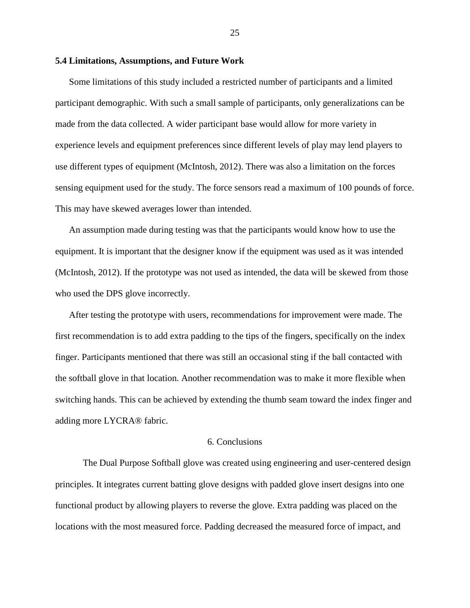## <span id="page-31-0"></span>**5.4 Limitations, Assumptions, and Future Work**

Some limitations of this study included a restricted number of participants and a limited participant demographic. With such a small sample of participants, only generalizations can be made from the data collected. A wider participant base would allow for more variety in experience levels and equipment preferences since different levels of play may lend players to use different types of equipment (McIntosh, 2012). There was also a limitation on the forces sensing equipment used for the study. The force sensors read a maximum of 100 pounds of force. This may have skewed averages lower than intended.

An assumption made during testing was that the participants would know how to use the equipment. It is important that the designer know if the equipment was used as it was intended (McIntosh, 2012). If the prototype was not used as intended, the data will be skewed from those who used the DPS glove incorrectly.

After testing the prototype with users, recommendations for improvement were made. The first recommendation is to add extra padding to the tips of the fingers, specifically on the index finger. Participants mentioned that there was still an occasional sting if the ball contacted with the softball glove in that location. Another recommendation was to make it more flexible when switching hands. This can be achieved by extending the thumb seam toward the index finger and adding more LYCRA® fabric.

### 6. Conclusions

<span id="page-31-1"></span>The Dual Purpose Softball glove was created using engineering and user-centered design principles. It integrates current batting glove designs with padded glove insert designs into one functional product by allowing players to reverse the glove. Extra padding was placed on the locations with the most measured force. Padding decreased the measured force of impact, and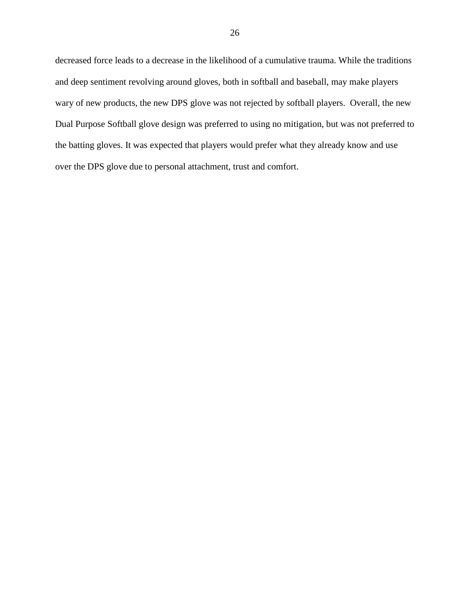decreased force leads to a decrease in the likelihood of a cumulative trauma. While the traditions and deep sentiment revolving around gloves, both in softball and baseball, may make players wary of new products, the new DPS glove was not rejected by softball players. Overall, the new Dual Purpose Softball glove design was preferred to using no mitigation, but was not preferred to the batting gloves. It was expected that players would prefer what they already know and use over the DPS glove due to personal attachment, trust and comfort.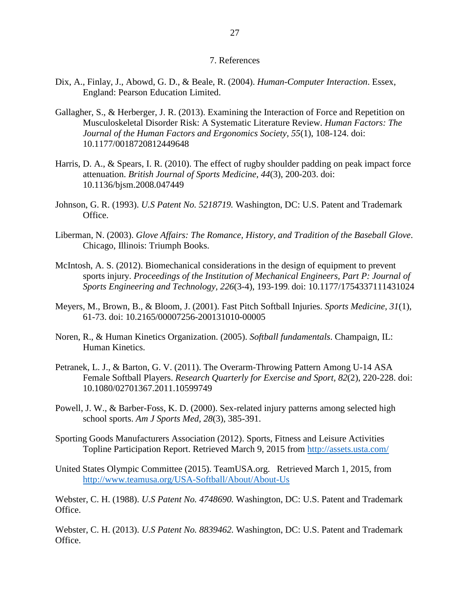### 7. References

- <span id="page-33-0"></span>Dix, A., Finlay, J., Abowd, G. D., & Beale, R. (2004). *Human-Computer Interaction*. Essex, England: Pearson Education Limited.
- Gallagher, S., & Herberger, J. R. (2013). Examining the Interaction of Force and Repetition on Musculoskeletal Disorder Risk: A Systematic Literature Review. *Human Factors: The Journal of the Human Factors and Ergonomics Society, 55*(1), 108-124. doi: 10.1177/0018720812449648
- Harris, D. A., & Spears, I. R. (2010). The effect of rugby shoulder padding on peak impact force attenuation. *British Journal of Sports Medicine, 44*(3), 200-203. doi: 10.1136/bjsm.2008.047449
- Johnson, G. R. (1993). *U.S Patent No. 5218719.* Washington, DC: U.S. Patent and Trademark Office.
- Liberman, N. (2003). *Glove Affairs: The Romance, History, and Tradition of the Baseball Glove*. Chicago, Illinois: Triumph Books.
- McIntosh, A. S. (2012). Biomechanical considerations in the design of equipment to prevent sports injury. *Proceedings of the Institution of Mechanical Engineers, Part P: Journal of Sports Engineering and Technology, 226*(3-4), 193-199. doi: 10.1177/1754337111431024
- Meyers, M., Brown, B., & Bloom, J. (2001). Fast Pitch Softball Injuries. *Sports Medicine, 31*(1), 61-73. doi: 10.2165/00007256-200131010-00005
- Noren, R., & Human Kinetics Organization. (2005). *Softball fundamentals*. Champaign, IL: Human Kinetics.
- Petranek, L. J., & Barton, G. V. (2011). The Overarm-Throwing Pattern Among U-14 ASA Female Softball Players. *Research Quarterly for Exercise and Sport, 82*(2), 220-228. doi: 10.1080/02701367.2011.10599749
- Powell, J. W., & Barber-Foss, K. D. (2000). Sex-related injury patterns among selected high school sports. *Am J Sports Med, 28*(3), 385-391.
- Sporting Goods Manufacturers Association (2012). Sports, Fitness and Leisure Activities Topline Participation Report. Retrieved March 9, 2015 from<http://assets.usta.com/>
- United States Olympic Committee (2015). TeamUSA.org. Retrieved March 1, 2015, from <http://www.teamusa.org/USA-Softball/About/About-Us>

Webster, C. H. (1988). *U.S Patent No. 4748690.* Washington, DC: U.S. Patent and Trademark Office.

Webster, C. H. (2013). *U.S Patent No. 8839462.* Washington, DC: U.S. Patent and Trademark Office.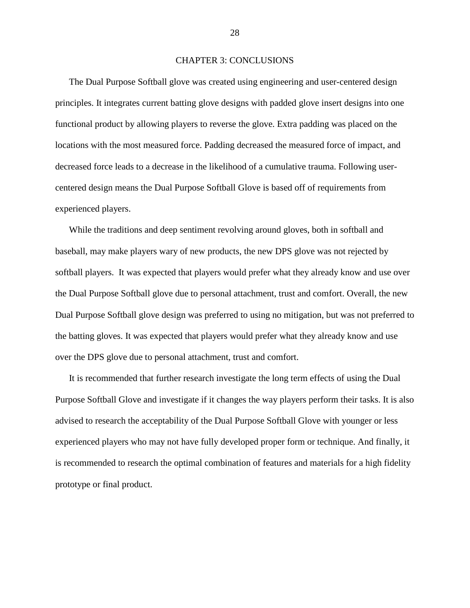#### CHAPTER 3: CONCLUSIONS

<span id="page-34-0"></span>The Dual Purpose Softball glove was created using engineering and user-centered design principles. It integrates current batting glove designs with padded glove insert designs into one functional product by allowing players to reverse the glove. Extra padding was placed on the locations with the most measured force. Padding decreased the measured force of impact, and decreased force leads to a decrease in the likelihood of a cumulative trauma. Following usercentered design means the Dual Purpose Softball Glove is based off of requirements from experienced players.

While the traditions and deep sentiment revolving around gloves, both in softball and baseball, may make players wary of new products, the new DPS glove was not rejected by softball players. It was expected that players would prefer what they already know and use over the Dual Purpose Softball glove due to personal attachment, trust and comfort. Overall, the new Dual Purpose Softball glove design was preferred to using no mitigation, but was not preferred to the batting gloves. It was expected that players would prefer what they already know and use over the DPS glove due to personal attachment, trust and comfort.

It is recommended that further research investigate the long term effects of using the Dual Purpose Softball Glove and investigate if it changes the way players perform their tasks. It is also advised to research the acceptability of the Dual Purpose Softball Glove with younger or less experienced players who may not have fully developed proper form or technique. And finally, it is recommended to research the optimal combination of features and materials for a high fidelity prototype or final product.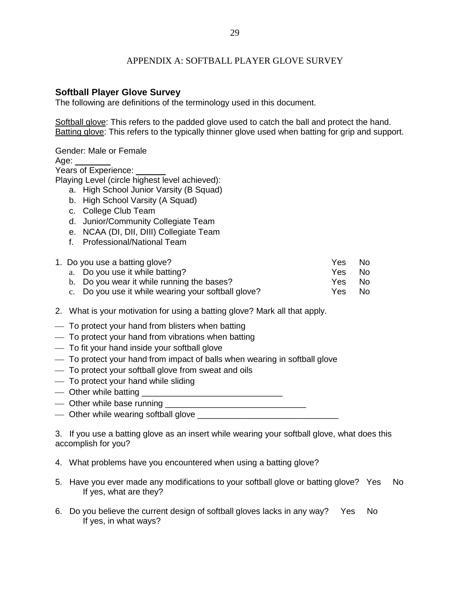## APPENDIX A: SOFTBALL PLAYER GLOVE SURVEY

## <span id="page-35-0"></span>**Softball Player Glove Survey**

The following are definitions of the terminology used in this document.

Softball glove: This refers to the padded glove used to catch the ball and protect the hand. Batting glove: This refers to the typically thinner glove used when batting for grip and support.

Gender: Male or Female

Age:

Years of Experience:

Playing Level (circle highest level achieved):

- a. High School Junior Varsity (B Squad)
- b. High School Varsity (A Squad)
- c. College Club Team
- d. Junior/Community Collegiate Team
- e. NCAA (DI, DII, DIII) Collegiate Team
- f. Professional/National Team

| 1. Do you use a batting glove?                      | Yes  | No. |
|-----------------------------------------------------|------|-----|
| a. Do you use it while batting?                     | Yes. | No. |
| b. Do you wear it while running the bases?          | Yes. | No. |
| c. Do you use it while wearing your softball glove? | Yes  | No. |
|                                                     |      |     |

- 2. What is your motivation for using a batting glove? Mark all that apply.
- $\overline{\phantom{a}}$  To protect your hand from blisters when batting
- $-$  To protect your hand from vibrations when batting
- To fit your hand inside your softball glove
- To protect your hand from impact of balls when wearing in softball glove
- To protect your softball glove from sweat and oils
- To protect your hand while sliding
- Other while batting example of the state of the state of the state of the state of the state of the state of the state of the state of the state of the state of the state of the state of the state of the state of the sta
- Other while base running \_\_\_\_\_\_\_\_\_\_\_\_\_\_\_\_\_\_\_\_\_\_\_\_\_\_\_\_\_\_
- $\overline{\phantom{a}}$  Other while wearing softball glove  $\overline{\phantom{a}}$

3. If you use a batting glove as an insert while wearing your softball glove, what does this accomplish for you?

- 4. What problems have you encountered when using a batting glove?
- 5. Have you ever made any modifications to your softball glove or batting glove? Yes No If yes, what are they?
- 6. Do you believe the current design of softball gloves lacks in any way? Yes No If yes, in what ways?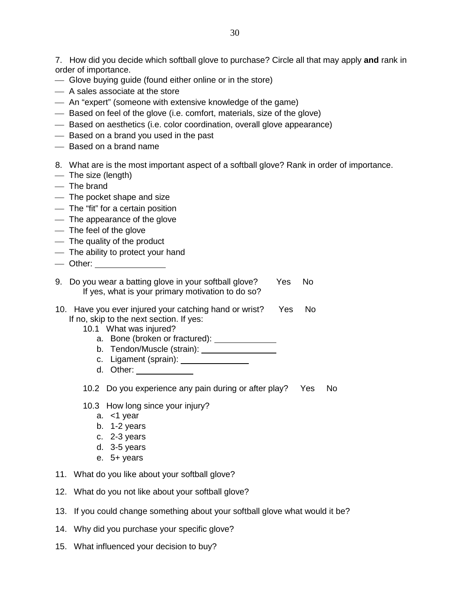7. How did you decide which softball glove to purchase? Circle all that may apply **and** rank in order of importance.

- Glove buying guide (found either online or in the store)
- A sales associate at the store
- An "expert" (someone with extensive knowledge of the game)
- Based on feel of the glove (i.e. comfort, materials, size of the glove)
- Based on aesthetics (i.e. color coordination, overall glove appearance)
- Based on a brand you used in the past
- Based on a brand name
- 8. What are is the most important aspect of a softball glove? Rank in order of importance.
- The size (length)
- The brand
- The pocket shape and size
- The "fit" for a certain position
- The appearance of the glove
- The feel of the glove
- The quality of the product
- The ability to protect your hand
- Other:
- 9. Do you wear a batting glove in your softball glove? Yes No If yes, what is your primary motivation to do so?
- 10. Have you ever injured your catching hand or wrist? Yes No If no, skip to the next section. If yes:
	- 10.1 What was injured?
		- a. Bone (broken or fractured):
		- b. Tendon/Muscle (strain):
		- c. Ligament (sprain):
		- d. Other:
	- 10.2 Do you experience any pain during or after play? Yes No
	- 10.3 How long since your injury?
		- a. <1 year
		- b. 1-2 years
		- c. 2-3 years
		- d. 3-5 years
		- e. 5+ years
- 11. What do you like about your softball glove?
- 12. What do you not like about your softball glove?
- 13. If you could change something about your softball glove what would it be?
- 14. Why did you purchase your specific glove?
- 15. What influenced your decision to buy?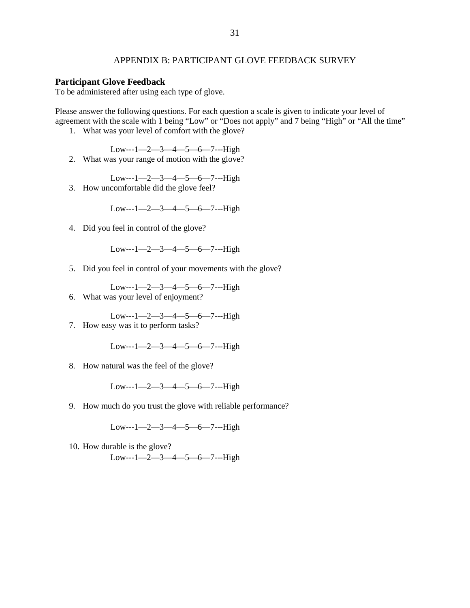## APPENDIX B: PARTICIPANT GLOVE FEEDBACK SURVEY

#### <span id="page-37-0"></span>**Participant Glove Feedback**

To be administered after using each type of glove.

Please answer the following questions. For each question a scale is given to indicate your level of agreement with the scale with 1 being "Low" or "Does not apply" and 7 being "High" or "All the time"

1. What was your level of comfort with the glove?

Low---1—2—3—4—5—6—7---High

2. What was your range of motion with the glove?

 $Low--1—2—3—4—5—6—7--High$ 

3. How uncomfortable did the glove feel?

Low---1—2—3—4—5—6—7---High

4. Did you feel in control of the glove?

Low---1-2-3-4-5-6-7---High

5. Did you feel in control of your movements with the glove?

Low---1—2—3—4—5—6—7---High

6. What was your level of enjoyment?

Low---1—2—3—4—5—6—7---High 7. How easy was it to perform tasks?

 $Low--1—2—3—4—5—6—7--High$ 

8. How natural was the feel of the glove?

Low---1—2—3—4—5—6—7---High

9. How much do you trust the glove with reliable performance?

Low---1—2—3—4—5—6—7---High

10. How durable is the glove? Low---1—2—3—4—5—6—7---High